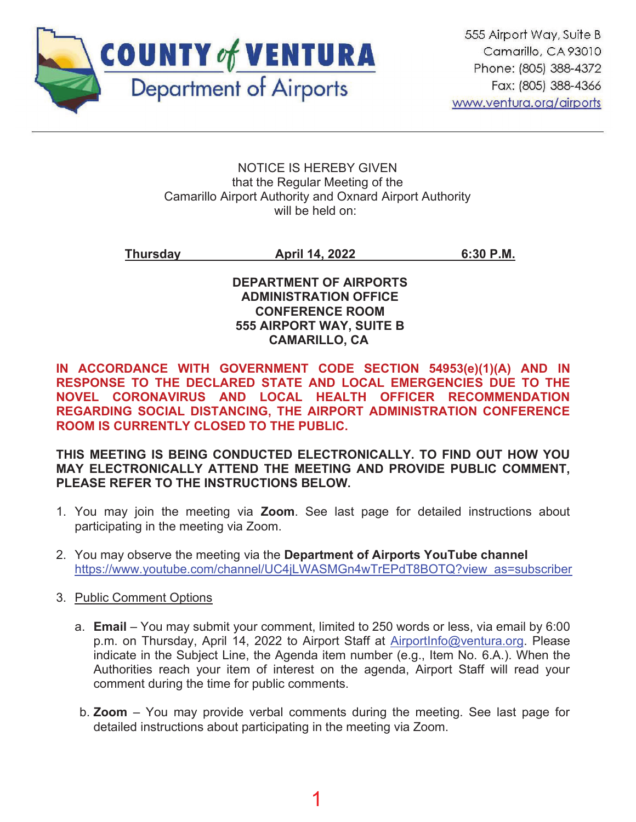

#### NOTICE IS HEREBY GIVEN that the Regular Meeting of the Camarillo Airport Authority and Oxnard Airport Authority will be held on:

# **Thursday April 14, 2022 6:30 P.M.**

# **DEPARTMENT OF AIRPORTS ADMINISTRATION OFFICE CONFERENCE ROOM 555 AIRPORT WAY, SUITE B CAMARILLO, CA**

**IN ACCORDANCE WITH GOVERNMENT CODE SECTION 54953(e)(1)(A) AND IN RESPONSE TO THE DECLARED STATE AND LOCAL EMERGENCIES DUE TO THE NOVEL CORONAVIRUS AND LOCAL HEALTH OFFICER RECOMMENDATION REGARDING SOCIAL DISTANCING, THE AIRPORT ADMINISTRATION CONFERENCE ROOM IS CURRENTLY CLOSED TO THE PUBLIC.** 

**THIS MEETING IS BEING CONDUCTED ELECTRONICALLY. TO FIND OUT HOW YOU MAY ELECTRONICALLY ATTEND THE MEETING AND PROVIDE PUBLIC COMMENT, PLEASE REFER TO THE INSTRUCTIONS BELOW.** 

- 1. You may join the meeting via **Zoom**. See last page for detailed instructions about participating in the meeting via Zoom.
- 2. You may observe the meeting via the **Department of Airports YouTube channel** https://www.youtube.com/channel/UC4jLWASMGn4wTrEPdT8BOTQ?view\_as=subscriber
- 3. Public Comment Options
	- a. **Email**  You may submit your comment, limited to 250 words or less, via email by 6:00 p.m. on Thursday, April 14, 2022 to Airport Staff at AirportInfo@ventura.org. Please indicate in the Subject Line, the Agenda item number (e.g., Item No. 6.A.). When the Authorities reach your item of interest on the agenda, Airport Staff will read your comment during the time for public comments.
	- b. **Zoom** You may provide verbal comments during the meeting. See last page for detailed instructions about participating in the meeting via Zoom.

1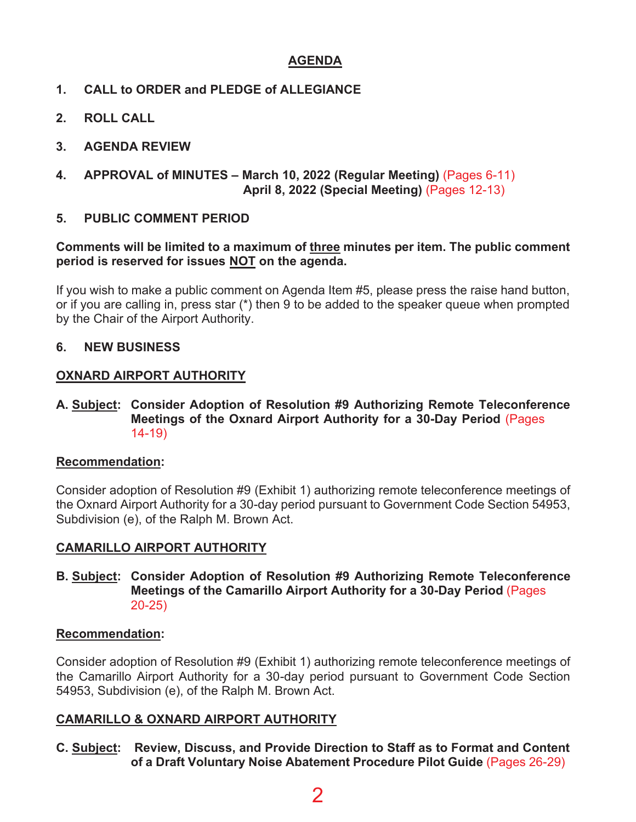# **AGENDA**

- **CALL to ORDER and PLEDGE of ALLEGIANCE**
- **ROLL CALL**
- **AGENDA REVIEW**
- 4. APPROVAL of MINUTES March 10, 2022 (Regular Meeting) (Pages 6-11) **April 8, 2022 (Special Meeting) (Pages 12-13)**

# **5. PUBLIC COMMENT PERIOD**

# **Comments will be limited to a maximum of three minutes per item. The public comment period is reserved for issues NOT on the agenda.**

If you wish to make a public comment on Agenda Item #5, please press the raise hand button, or if you are calling in, press star (\*) then 9 to be added to the speaker queue when prompted by the Chair of the Airport Authority.

# **6. NEW BUSINESS**

# **OXNARD AIRPORT AUTHORITY**

**A. Subject: Consider Adoption of Resolution #9 Authorizing Remote Teleconference Meetings of the Oxnard Airport Authority for a 30-Day Period** (Pages  $14-19$ 

# **Recommendation:**

Consider adoption of Resolution #9 (Exhibit 1) authorizing remote teleconference meetings of the Oxnard Airport Authority for a 30-day period pursuant to Government Code Section 54953, Subdivision (e), of the Ralph M. Brown Act.

# **CAMARILLO AIRPORT AUTHORITY**

#### **B. Subject: Consider Adoption of Resolution #9 Authorizing Remote Teleconference Meetings of the Camarillo Airport Authority for a 30-Day Period** (Pages  $20 - 25$

# **Recommendation:**

Consider adoption of Resolution #9 (Exhibit 1) authorizing remote teleconference meetings of the Camarillo Airport Authority for a 30-day period pursuant to Government Code Section 54953, Subdivision (e), of the Ralph M. Brown Act.

# **CAMARILLO & OXNARD AIRPORT AUTHORITY**

**C. Subject: Review, Discuss, and Provide Direction to Staff as to Format and Content** of a Draft Voluntary Noise Abatement Procedure Pilot Guide (Pages 26-29)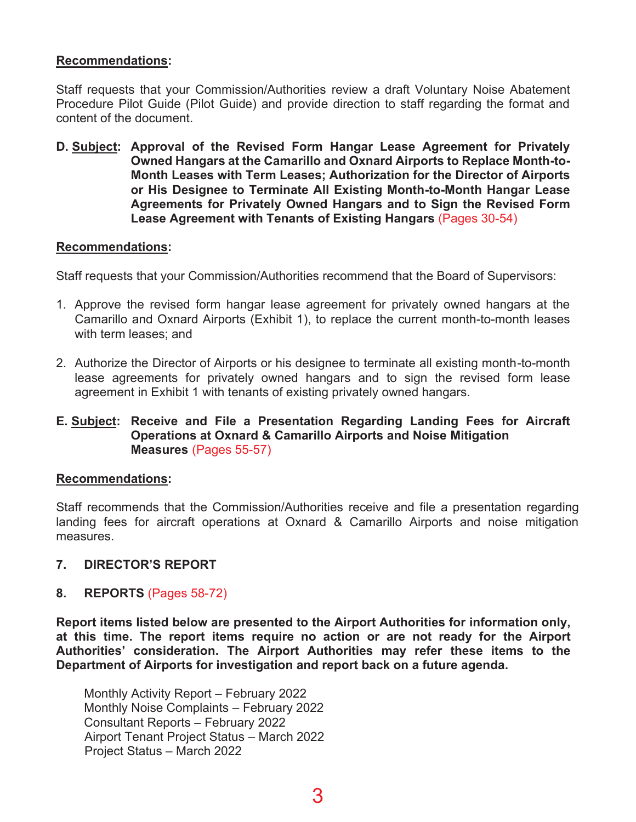# **Recommendations:**

Staff requests that your Commission/Authorities review a draft Voluntary Noise Abatement Procedure Pilot Guide (Pilot Guide) and provide direction to staff regarding the format and content of the document.

**D. Subject: Approval of the Revised Form Hangar Lease Agreement for Privately Owned Hangars at the Camarillo and Oxnard Airports to Replace Month-to-Month Leases with Term Leases; Authorization for the Director of Airports or His Designee to Terminate All Existing Month-to-Month Hangar Lease Agreements for Privately Owned Hangars and to Sign the Revised Form Lease Agreement with Tenants of Existing Hangars (Pages 30-54)** 

# **Recommendations:**

Staff requests that your Commission/Authorities recommend that the Board of Supervisors:

- 1. Approve the revised form hangar lease agreement for privately owned hangars at the Camarillo and Oxnard Airports (Exhibit 1), to replace the current month-to-month leases with term leases; and
- 2. Authorize the Director of Airports or his designee to terminate all existing month-to-month lease agreements for privately owned hangars and to sign the revised form lease agreement in Exhibit 1 with tenants of existing privately owned hangars.
- **E. Subject: Receive and File a Presentation Regarding Landing Fees for Aircraft Operations at Oxnard & Camarillo Airports and Noise Mitigation Measures** (Pages 55-57)

# **Recommendations:**

Staff recommends that the Commission/Authorities receive and file a presentation regarding landing fees for aircraft operations at Oxnard & Camarillo Airports and noise mitigation measures.

# **DIRECTOR'S REPORT**

**8.** REPORTS (Pages 58-72)

**Report items listed below are presented to the Airport Authorities for information only, at this time. The report items require no action or are not ready for the Airport Authorities' consideration. The Airport Authorities may refer these items to the Department of Airports for investigation and report back on a future agenda.** 

Monthly Activity Report – February 2022 Monthly Noise Complaints – February 2022 Consultant Reports – February 2022 Airport Tenant Project Status – March 2022 Project Status – March 2022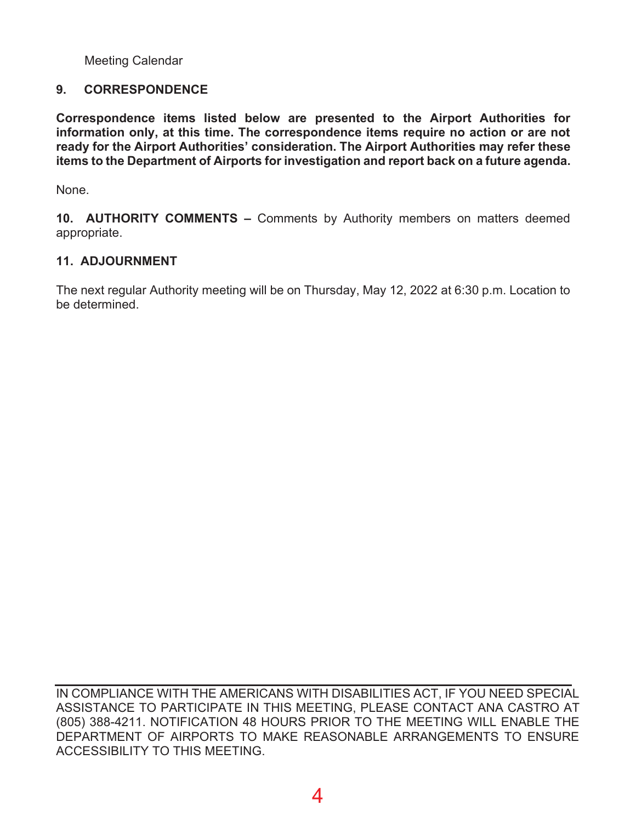Meeting Calendar

# **9. CORRESPONDENCE**

**Correspondence items listed below are presented to the Airport Authorities for information only, at this time. The correspondence items require no action or are not ready for the Airport Authorities' consideration. The Airport Authorities may refer these items to the Department of Airports for investigation and report back on a future agenda.** 

None.

**10. AUTHORITY COMMENTS –** Comments by Authority members on matters deemed appropriate.

# **11. ADJOURNMENT**

The next regular Authority meeting will be on Thursday, May 12, 2022 at 6:30 p.m. Location to be determined.

IN COMPLIANCE WITH THE AMERICANS WITH DISABILITIES ACT, IF YOU NEED SPECIAL ASSISTANCE TO PARTICIPATE IN THIS MEETING, PLEASE CONTACT ANA CASTRO AT (805) 388-4211. NOTIFICATION 48 HOURS PRIOR TO THE MEETING WILL ENABLE THE DEPARTMENT OF AIRPORTS TO MAKE REASONABLE ARRANGEMENTS TO ENSURE ACCESSIBILITY TO THIS MEETING.